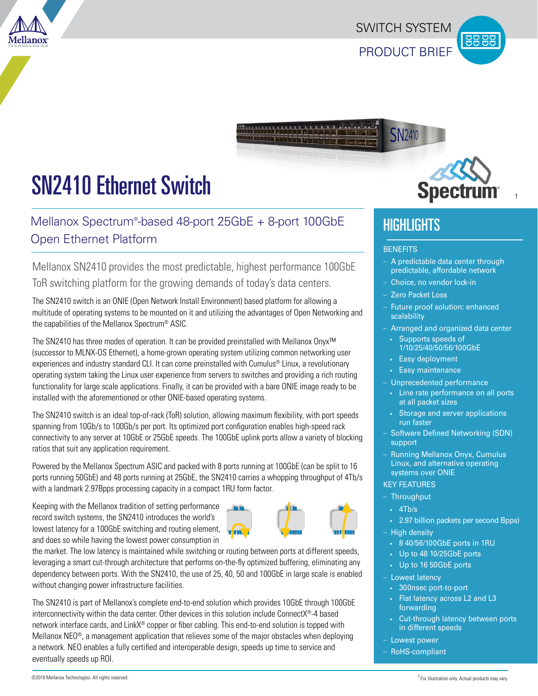PRODUCT BRIEF SWITCH SYSTEM

**SN2410** 



# SN2410 Ethernet Switch

## Mellanox Spectrum® -based 48-port 25GbE + 8-port 100GbE Open Ethernet Platform

Mellanox SN2410 provides the most predictable, highest performance 100GbE ToR switching platform for the growing demands of today's data centers.

The SN2410 switch is an ONIE (Open Network Install Environment) based platform for allowing a multitude of operating systems to be mounted on it and utilizing the advantages of Open Networking and the capabilities of the Mellanox Spectrum® ASIC.

The SN2410 has three modes of operation. It can be provided preinstalled with Mellanox Onyx™ (successor to MLNX-OS Ethernet), a home-grown operating system utilizing common networking user experiences and industry standard CLI. It can come preinstalled with Cumulus® Linux, a revolutionary operating system taking the Linux user experience from servers to switches and providing a rich routing functionality for large scale applications. Finally, it can be provided with a bare ONIE image ready to be installed with the aforementioned or other ONIE-based operating systems.

The SN2410 switch is an ideal top-of-rack (ToR) solution, allowing maximum flexibility, with port speeds spanning from 10Gb/s to 100Gb/s per port. Its optimized port configuration enables high-speed rack connectivity to any server at 10GbE or 25GbE speeds. The 100GbE uplink ports allow a variety of blocking ratios that suit any application requirement.

Powered by the Mellanox Spectrum ASIC and packed with 8 ports running at 100GbE (can be split to 16 ports running 50GbE) and 48 ports running at 25GbE, the SN2410 carries a whopping throughput of 4Tb/s with a landmark 2.97Bpps processing capacity in a compact 1RU form factor.

Keeping with the Mellanox tradition of setting performance record switch systems, the SN2410 introduces the world's lowest latency for a 100GbE switching and routing element, and does so while having the lowest power consumption in



the market. The low latency is maintained while switching or routing between ports at different speeds, leveraging a smart cut-through architecture that performs on-the-fly optimized buffering, eliminating any dependency between ports. With the SN2410, the use of 25, 40, 50 and 100GbE in large scale is enabled without changing power infrastructure facilities.

The SN2410 is part of Mellanox's complete end-to-end solution which provides 10GbE through 100GbE interconnectivity within the data center. Other devices in this solution include ConnectX®-4 based network interface cards, and LinkX<sup>®</sup> copper or fiber cabling. This end-to-end solution is topped with Mellanox  $NEO<sup>®</sup>$ , a management application that relieves some of the major obstacles when deploying a network. NEO enables a fully certified and interoperable design, speeds up time to service and eventually speeds up ROI.



†

## **HIGHLIGHTS**

#### **BENEFITS**

- A predictable data center through predictable, affordable network
- Choice, no vendor lock-in
- Zero Packet Loss
- Future proof solution: enhanced scalability
- Arranged and organized data center
- Supports speeds of 1/10/25/40/50/56/100GbE
- Easy deployment
- Easy maintenance
- Unprecedented performance
- Line rate performance on all ports at all packet sizes
- Storage and server applications run faster
- Software Defined Networking (SDN) support
- Running Mellanox Onyx, Cumulus Linux, and alternative operating systems over ONIE
- KEY FEATURES
- **Throughput**
- $-4Tb/s$
- 2.97 billion packets per second Bpps)
- High density
- 8 40/56/100GbE ports in 1RU
- Up to 48 10/25GbE ports
- Up to 16 50GbE ports
- Lowest latency
- 300nsec port-to-port
- Flat latency across L2 and L3 forwarding
- Cut-through latency between ports in different speeds
- Lowest power
- RoHS-compliant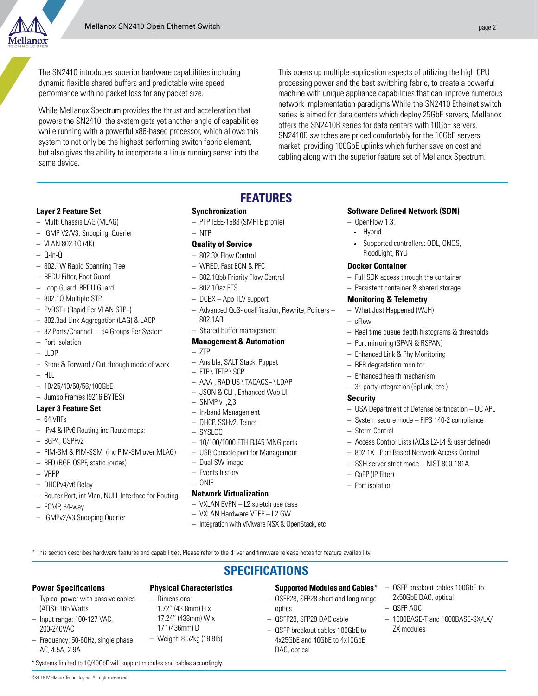

The SN2410 introduces superior hardware capabilities including dynamic flexible shared buffers and predictable wire speed performance with no packet loss for any packet size.

While Mellanox Spectrum provides the thrust and acceleration that powers the SN2410, the system gets yet another angle of capabilities while running with a powerful x86-based processor, which allows this system to not only be the highest performing switch fabric element, but also gives the ability to incorporate a Linux running server into the same device.

This opens up multiple application aspects of utilizing the high CPU processing power and the best switching fabric, to create a powerful machine with unique appliance capabilities that can improve numerous network implementation paradigms.While the SN2410 Ethernet switch series is aimed for data centers which deploy 25GbE servers, Mellanox offers the SN2410B series for data centers with 10GbE servers. SN2410B switches are priced comfortably for the 10GbE servers market, providing 100GbE uplinks which further save on cost and cabling along with the superior feature set of Mellanox Spectrum.

#### **Layer 2 Feature Set**

- Multi Chassis LAG (MLAG)
- IGMP V2/V3, Snooping, Querier
- VLAN 802.1Q (4K)
- Q-In-Q
- 802.1W Rapid Spanning Tree
- BPDU Filter, Root Guard
- Loop Guard, BPDU Guard
- 802.1Q Multiple STP
- PVRST+ (Rapid Per VLAN STP+)
- 802.3ad Link Aggregation (LAG) & LACP
- 32 Ports/Channel 64 Groups Per System
- Port Isolation
- LLDP
- Store & Forward / Cut-through mode of work
- $-$  HLL
- 10/25/40/50/56/100GbE
- Jumbo Frames (9216 BYTES)

#### **Layer 3 Feature Set**

- $-64$  VRFs
- IPv4 & IPv6 Routing inc Route maps:
- BGP4, OSPFv2
- PIM-SM & PIM-SSM (inc PIM-SM over MLAG)
- BFD (BGP, OSPF, static routes)
- VRRP
- DHCPv4/v6 Relay
- Router Port, int Vlan, NULL Interface for Routing
- ECMP, 64-way
- IGMPv2/v3 Snooping Querier

### **FEATURES**

#### **Synchronization**

– PTP IEEE-1588 (SMPTE profile)

#### – NTP

- **Quality of Service**
- 802.3X Flow Control
- WRED, Fast ECN & PFC
- 802.1Qbb Priority Flow Control
- 802.1Qaz ETS
- DCBX App TLV support
- Advanced QoS- qualification, Rewrite, Policers 802.1AB
- Shared buffer management

#### **Management & Automation**

- ZTP
- Ansible, SALT Stack, Puppet
- FTP \ TFTP \ SCP
- AAA , RADIUS \ TACACS+ \ LDAP
- JSON & CLI , Enhanced Web UI
- $-$  SNMP v1,2,3
- In-band Management
- DHCP, SSHv2, Telnet
- SYSLOG
- 10/100/1000 ETH RJ45 MNG ports
- USB Console port for Management
- Dual SW image
- Events history
- ONIE

#### **Network Virtualization**

- VXLAN EVPN L2 stretch use case
- VXLAN Hardware VTEP L2 GW
- Integration with VMware NSX & OpenStack, etc

#### **Software Defined Network (SDN)**

- OpenFlow 1.3:
	- Hybrid
	- Supported controllers: ODL, ONOS, FloodLight, RYU

#### **Docker Container**

- Full SDK access through the container
- Persistent container & shared storage

#### **Monitoring & Telemetry**

- What Just Happened (WJH)
- sFlow
- Real time queue depth histograms & thresholds
- Port mirroring (SPAN & RSPAN)
- Enhanced Link & Phy Monitoring
- BER degradation monitor
- Enhanced health mechanism
- 3rd party integration (Splunk, etc.)

#### **Security**

- USA Department of Defense certification UC APL
- System secure mode FIPS 140-2 compliance
- Storm Control
- Access Control Lists (ACLs L2-L4 & user defined)

– QSFP breakout cables 100GbE to

– 1000BASE-T and 1000BASE-SX/LX/

2x50GbE DAC, optical

– QSFP AOC

ZX modules

- 802.1X Port Based Network Access Control
- SSH server strict mode NIST 800-181A
- CoPP (IP filter)
- Port isolation

\* This section describes hardware features and capabilities. Please refer to the driver and firmware release notes for feature availability.

#### **SPECIFICATIONS**

#### **Power Specifications**

#### – Typical power with passive cables (ATIS): 165 Watts

– Input range: 100-127 VAC, 200-240VAC

AC, 4.5A, 2.9A

©2019 Mellanox Technologies. All rights reserved.

\* Systems limited to 10/40GbE will support modules and cables accordingly.

– Dimensions: 1.72'' (43.8mm) H x 17.24'' (438mm) W x 17'' (436mm) D

**Physical Characteristics** 

– Frequency: 50-60Hz, single phase – Weight: 8.52kg (18.8lb)

#### **Supported Modules and Cables\***

- QSFP28, SFP28 short and long range optics
- QSFP28, SFP28 DAC cable

DAC, optical

– QSFP breakout cables 100GbE to 4x25GbE and 40GbE to 4x10GbE